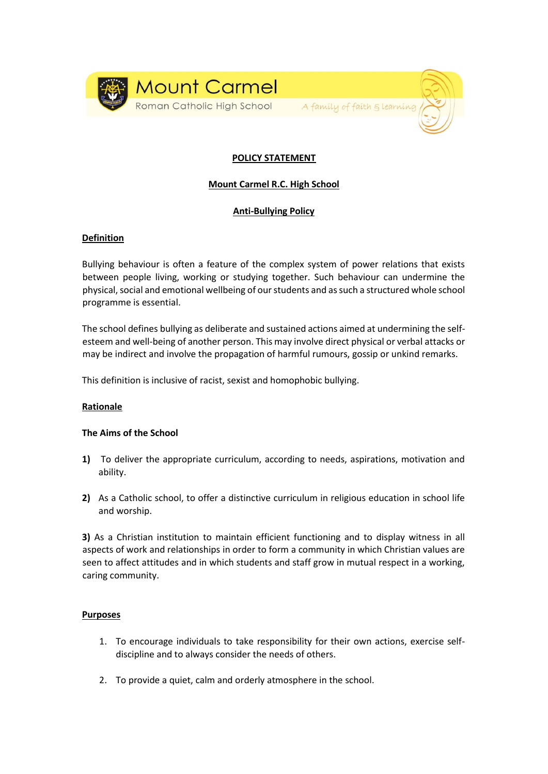

## **POLICY STATEMENT**

Faith & Learning

# **Mount Carmel R.C. High School**

## **Anti-Bullying Policy**

## **Definition**

Bullying behaviour is often a feature of the complex system of power relations that exists between people living, working or studying together. Such behaviour can undermine the physical, social and emotional wellbeing of our students and as such a structured whole school programme is essential.

The school defines bullying as deliberate and sustained actions aimed at undermining the selfesteem and well-being of another person. This may involve direct physical or verbal attacks or may be indirect and involve the propagation of harmful rumours, gossip or unkind remarks.

This definition is inclusive of racist, sexist and homophobic bullying.

## **Rationale**

#### **The Aims of the School**

- **1)** To deliver the appropriate curriculum, according to needs, aspirations, motivation and ability.
- **2)** As a Catholic school, to offer a distinctive curriculum in religious education in school life and worship.

**3)** As a Christian institution to maintain efficient functioning and to display witness in all aspects of work and relationships in order to form a community in which Christian values are seen to affect attitudes and in which students and staff grow in mutual respect in a working, caring community.

#### **Purposes**

- 1. To encourage individuals to take responsibility for their own actions, exercise selfdiscipline and to always consider the needs of others.
- 2. To provide a quiet, calm and orderly atmosphere in the school.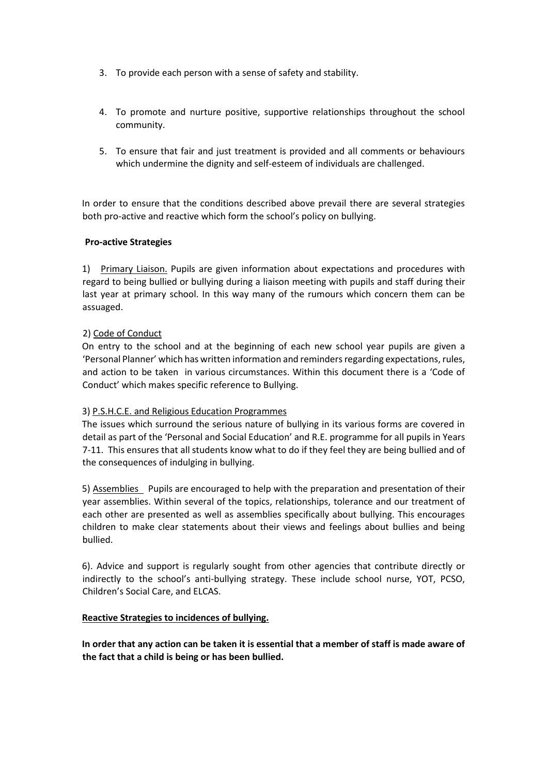- 3. To provide each person with a sense of safety and stability.
- 4. To promote and nurture positive, supportive relationships throughout the school community.
- 5. To ensure that fair and just treatment is provided and all comments or behaviours which undermine the dignity and self-esteem of individuals are challenged.

In order to ensure that the conditions described above prevail there are several strategies both pro-active and reactive which form the school's policy on bullying.

## **Pro-active Strategies**

1) Primary Liaison. Pupils are given information about expectations and procedures with regard to being bullied or bullying during a liaison meeting with pupils and staff during their last year at primary school. In this way many of the rumours which concern them can be assuaged.

## 2) Code of Conduct

On entry to the school and at the beginning of each new school year pupils are given a 'Personal Planner' which has written information and reminders regarding expectations, rules, and action to be taken in various circumstances. Within this document there is a 'Code of Conduct' which makes specific reference to Bullying.

## 3) P.S.H.C.E. and Religious Education Programmes

The issues which surround the serious nature of bullying in its various forms are covered in detail as part of the 'Personal and Social Education' and R.E. programme for all pupils in Years 7-11. This ensures that all students know what to do if they feel they are being bullied and of the consequences of indulging in bullying.

5) Assemblies Pupils are encouraged to help with the preparation and presentation of their year assemblies. Within several of the topics, relationships, tolerance and our treatment of each other are presented as well as assemblies specifically about bullying. This encourages children to make clear statements about their views and feelings about bullies and being bullied.

6). Advice and support is regularly sought from other agencies that contribute directly or indirectly to the school's anti-bullying strategy. These include school nurse, YOT, PCSO, Children's Social Care, and ELCAS.

## **Reactive Strategies to incidences of bullying.**

**In order that any action can be taken it is essential that a member of staff is made aware of the fact that a child is being or has been bullied.**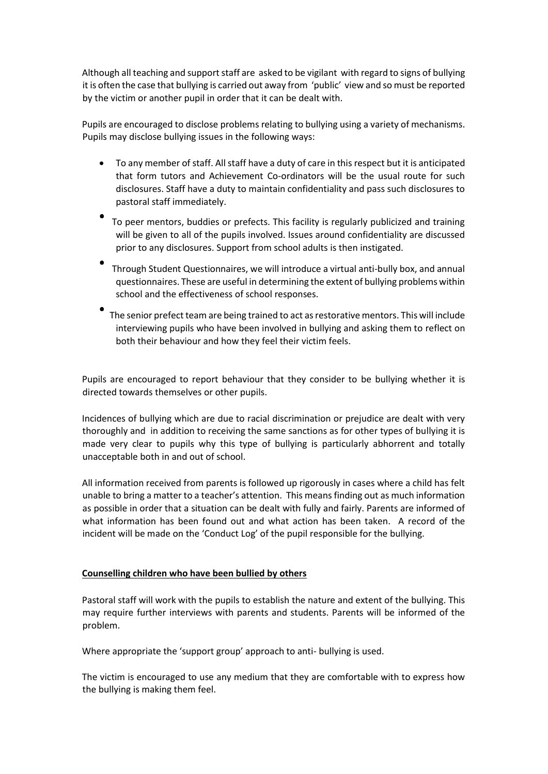Although all teaching and support staff are asked to be vigilant with regard to signs of bullying it is often the case that bullying is carried out away from 'public' view and so must be reported by the victim or another pupil in order that it can be dealt with.

Pupils are encouraged to disclose problems relating to bullying using a variety of mechanisms. Pupils may disclose bullying issues in the following ways:

- To any member of staff. All staff have a duty of care in this respect but it is anticipated that form tutors and Achievement Co-ordinators will be the usual route for such disclosures. Staff have a duty to maintain confidentiality and pass such disclosures to pastoral staff immediately.
- To peer mentors, buddies or prefects. This facility is regularly publicized and training will be given to all of the pupils involved. Issues around confidentiality are discussed prior to any disclosures. Support from school adults is then instigated.
- Through Student Questionnaires, we will introduce a virtual anti-bully box, and annual questionnaires. These are useful in determining the extent of bullying problems within school and the effectiveness of school responses.
- The senior prefect team are being trained to act as restorative mentors. This will include interviewing pupils who have been involved in bullying and asking them to reflect on both their behaviour and how they feel their victim feels.

Pupils are encouraged to report behaviour that they consider to be bullying whether it is directed towards themselves or other pupils.

Incidences of bullying which are due to racial discrimination or prejudice are dealt with very thoroughly and in addition to receiving the same sanctions as for other types of bullying it is made very clear to pupils why this type of bullying is particularly abhorrent and totally unacceptable both in and out of school.

All information received from parents is followed up rigorously in cases where a child has felt unable to bring a matter to a teacher's attention. This means finding out as much information as possible in order that a situation can be dealt with fully and fairly. Parents are informed of what information has been found out and what action has been taken. A record of the incident will be made on the 'Conduct Log' of the pupil responsible for the bullying.

## **Counselling children who have been bullied by others**

Pastoral staff will work with the pupils to establish the nature and extent of the bullying. This may require further interviews with parents and students. Parents will be informed of the problem.

Where appropriate the 'support group' approach to anti- bullying is used.

The victim is encouraged to use any medium that they are comfortable with to express how the bullying is making them feel.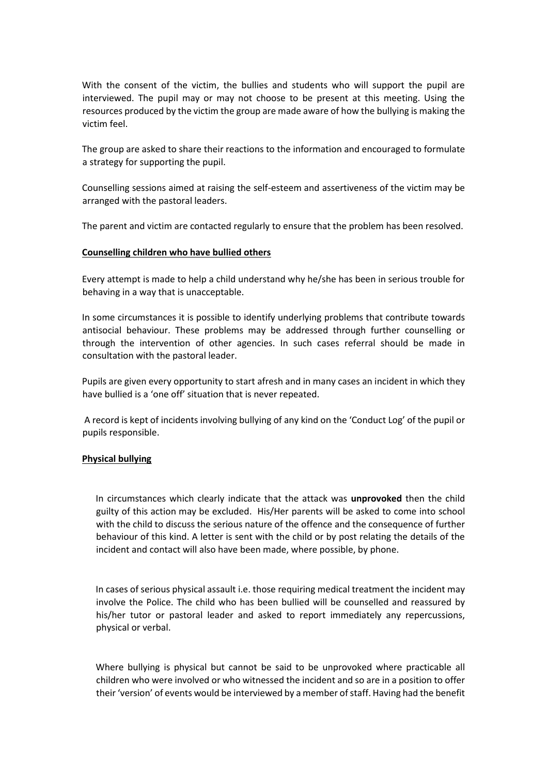With the consent of the victim, the bullies and students who will support the pupil are interviewed. The pupil may or may not choose to be present at this meeting. Using the resources produced by the victim the group are made aware of how the bullying is making the victim feel.

The group are asked to share their reactions to the information and encouraged to formulate a strategy for supporting the pupil.

Counselling sessions aimed at raising the self-esteem and assertiveness of the victim may be arranged with the pastoral leaders.

The parent and victim are contacted regularly to ensure that the problem has been resolved.

## **Counselling children who have bullied others**

Every attempt is made to help a child understand why he/she has been in serious trouble for behaving in a way that is unacceptable.

In some circumstances it is possible to identify underlying problems that contribute towards antisocial behaviour. These problems may be addressed through further counselling or through the intervention of other agencies. In such cases referral should be made in consultation with the pastoral leader.

Pupils are given every opportunity to start afresh and in many cases an incident in which they have bullied is a 'one off' situation that is never repeated.

A record is kept of incidents involving bullying of any kind on the 'Conduct Log' of the pupil or pupils responsible.

## **Physical bullying**

In circumstances which clearly indicate that the attack was **unprovoked** then the child guilty of this action may be excluded. His/Her parents will be asked to come into school with the child to discuss the serious nature of the offence and the consequence of further behaviour of this kind. A letter is sent with the child or by post relating the details of the incident and contact will also have been made, where possible, by phone.

In cases of serious physical assault i.e. those requiring medical treatment the incident may involve the Police. The child who has been bullied will be counselled and reassured by his/her tutor or pastoral leader and asked to report immediately any repercussions, physical or verbal.

Where bullying is physical but cannot be said to be unprovoked where practicable all children who were involved or who witnessed the incident and so are in a position to offer their 'version' of events would be interviewed by a member of staff. Having had the benefit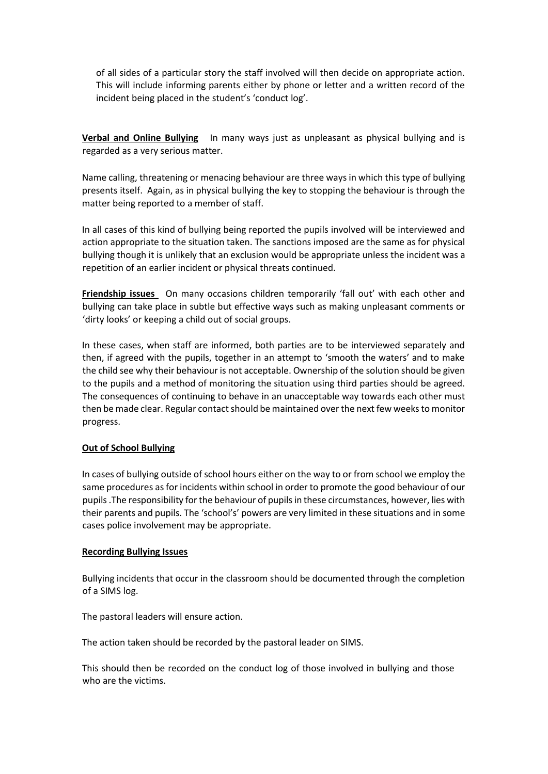of all sides of a particular story the staff involved will then decide on appropriate action. This will include informing parents either by phone or letter and a written record of the incident being placed in the student's 'conduct log'.

**Verbal and Online Bullying** In many ways just as unpleasant as physical bullying and is regarded as a very serious matter.

Name calling, threatening or menacing behaviour are three ways in which this type of bullying presents itself. Again, as in physical bullying the key to stopping the behaviour is through the matter being reported to a member of staff.

In all cases of this kind of bullying being reported the pupils involved will be interviewed and action appropriate to the situation taken. The sanctions imposed are the same as for physical bullying though it is unlikely that an exclusion would be appropriate unless the incident was a repetition of an earlier incident or physical threats continued.

**Friendship issues** On many occasions children temporarily 'fall out' with each other and bullying can take place in subtle but effective ways such as making unpleasant comments or 'dirty looks' or keeping a child out of social groups.

In these cases, when staff are informed, both parties are to be interviewed separately and then, if agreed with the pupils, together in an attempt to 'smooth the waters' and to make the child see why their behaviour is not acceptable. Ownership of the solution should be given to the pupils and a method of monitoring the situation using third parties should be agreed. The consequences of continuing to behave in an unacceptable way towards each other must then be made clear. Regular contact should be maintained over the next few weeks to monitor progress.

## **Out of School Bullying**

In cases of bullying outside of school hours either on the way to or from school we employ the same procedures as for incidents within school in order to promote the good behaviour of our pupils .The responsibility for the behaviour of pupils in these circumstances, however, lies with their parents and pupils. The 'school's' powers are very limited in these situations and in some cases police involvement may be appropriate.

## **Recording Bullying Issues**

Bullying incidents that occur in the classroom should be documented through the completion of a SIMS log.

The pastoral leaders will ensure action.

The action taken should be recorded by the pastoral leader on SIMS.

This should then be recorded on the conduct log of those involved in bullying and those who are the victims.